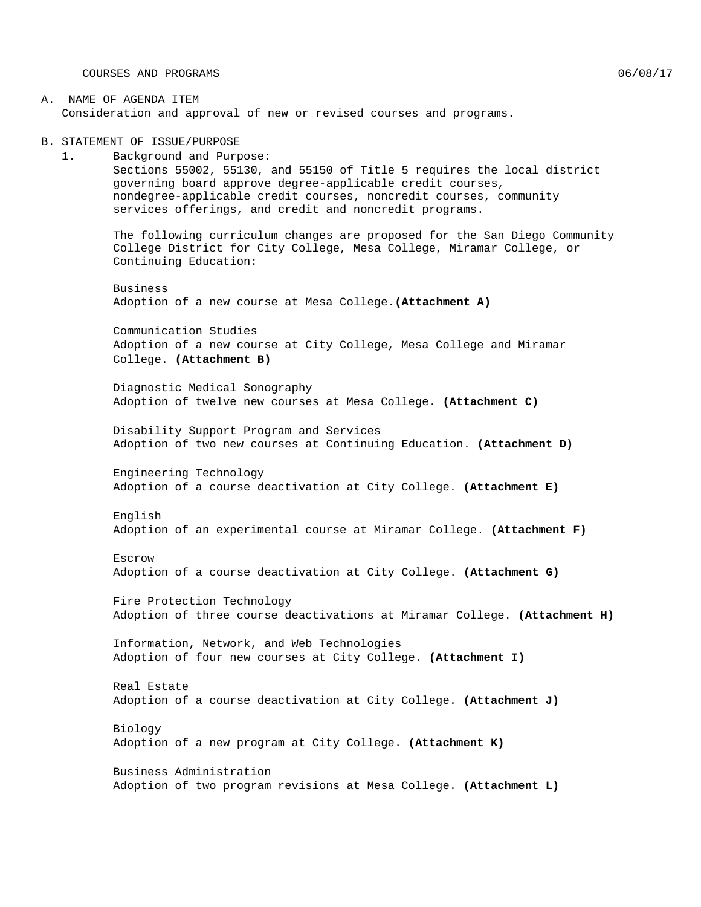COURSES AND PROGRAMS  $06/08/17$ 

#### A. NAME OF AGENDA ITEM Consideration and approval of new or revised courses and programs.

B. STATEMENT OF ISSUE/PURPOSE

1. Background and Purpose: Sections 55002, 55130, and 55150 of Title 5 requires the local district governing board approve degree-applicable credit courses, nondegree-applicable credit courses, noncredit courses, community services offerings, and credit and noncredit programs.

The following curriculum changes are proposed for the San Diego Community College District for City College, Mesa College, Miramar College, or Continuing Education:

Business Adoption of a new course at Mesa College.**(Attachment A)**

Communication Studies Adoption of a new course at City College, Mesa College and Miramar College. **(Attachment B)**

Diagnostic Medical Sonography Adoption of twelve new courses at Mesa College. **(Attachment C)**

Disability Support Program and Services Adoption of two new courses at Continuing Education. **(Attachment D)**

Engineering Technology Adoption of a course deactivation at City College. **(Attachment E)**

English Adoption of an experimental course at Miramar College. **(Attachment F)**

Escrow Adoption of a course deactivation at City College. **(Attachment G)**

Fire Protection Technology Adoption of three course deactivations at Miramar College. **(Attachment H)**

Information, Network, and Web Technologies Adoption of four new courses at City College. **(Attachment I)**

Real Estate Adoption of a course deactivation at City College. **(Attachment J)**

Biology Adoption of a new program at City College. **(Attachment K)**

Business Administration Adoption of two program revisions at Mesa College. **(Attachment L)**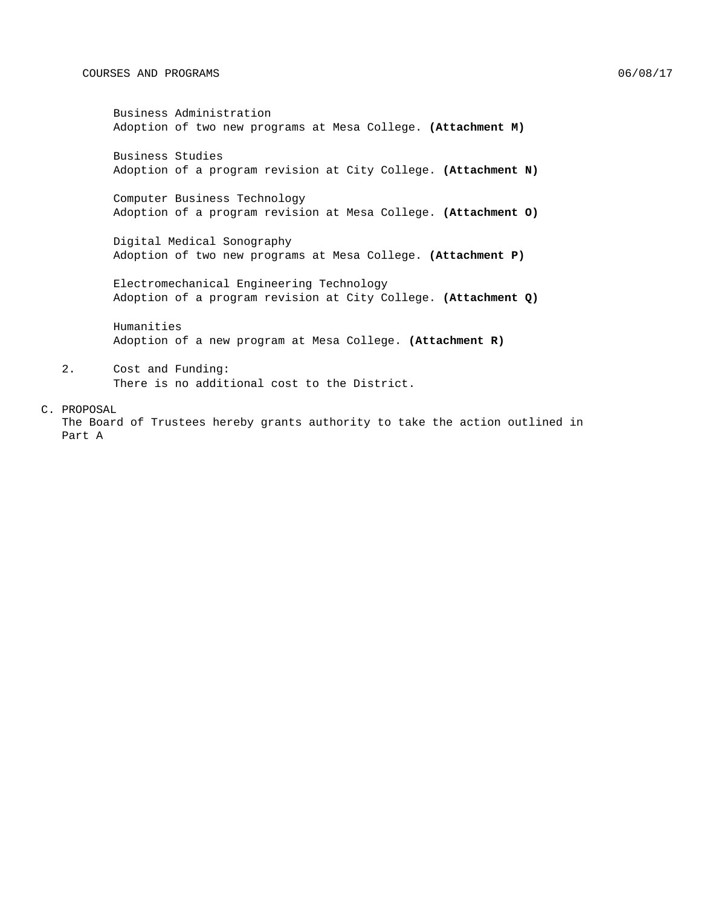Business Administration Adoption of two new programs at Mesa College. **(Attachment M)**

Business Studies Adoption of a program revision at City College. **(Attachment N)**

Computer Business Technology Adoption of a program revision at Mesa College. **(Attachment O)**

Digital Medical Sonography Adoption of two new programs at Mesa College. **(Attachment P)**

Electromechanical Engineering Technology Adoption of a program revision at City College. **(Attachment Q)**

Humanities Adoption of a new program at Mesa College. **(Attachment R)**

2. Cost and Funding: There is no additional cost to the District.

#### C. PROPOSAL

The Board of Trustees hereby grants authority to take the action outlined in Part A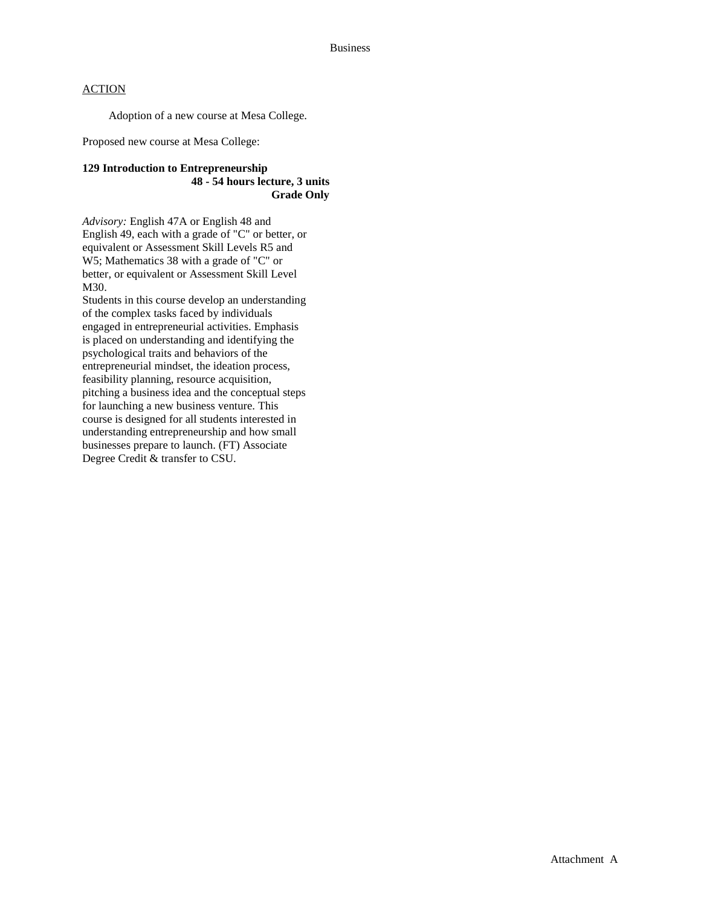Adoption of a new course at Mesa College.

Proposed new course at Mesa College:

#### **129 Introduction to Entrepreneurship 48 - 54 hours lecture, 3 units Grade Only**

*Advisory:* English 47A or English 48 and English 49, each with a grade of "C" or better, or equivalent or Assessment Skill Levels R5 and W5; Mathematics 38 with a grade of "C" or better, or equivalent or Assessment Skill Level M30.

Students in this course develop an understanding of the complex tasks faced by individuals engaged in entrepreneurial activities. Emphasis is placed on understanding and identifying the psychological traits and behaviors of the entrepreneurial mindset, the ideation process, feasibility planning, resource acquisition, pitching a business idea and the conceptual steps for launching a new business venture. This course is designed for all students interested in understanding entrepreneurship and how small businesses prepare to launch. (FT) Associate Degree Credit & transfer to CSU.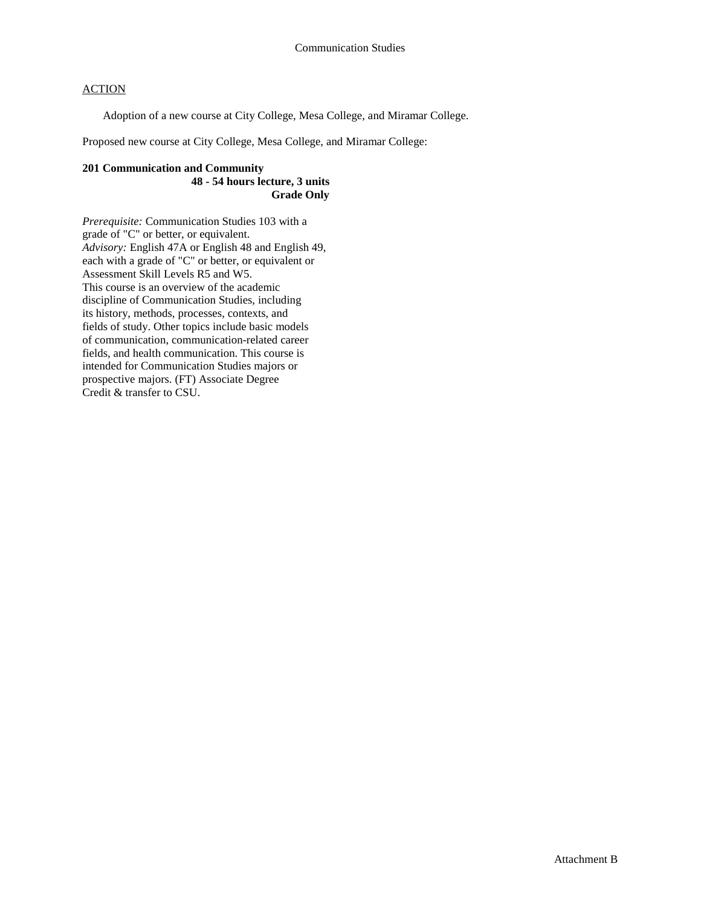Adoption of a new course at City College, Mesa College, and Miramar College.

Proposed new course at City College, Mesa College, and Miramar College:

#### **201 Communication and Community 48 - 54 hours lecture, 3 units Grade Only**

*Prerequisite:* Communication Studies 103 with a grade of "C" or better, or equivalent. *Advisory:* English 47A or English 48 and English 49, each with a grade of "C" or better, or equivalent or Assessment Skill Levels R5 and W5. This course is an overview of the academic discipline of Communication Studies, including its history, methods, processes, contexts, and fields of study. Other topics include basic models of communication, communication-related career fields, and health communication. This course is intended for Communication Studies majors or prospective majors. (FT) Associate Degree Credit & transfer to CSU.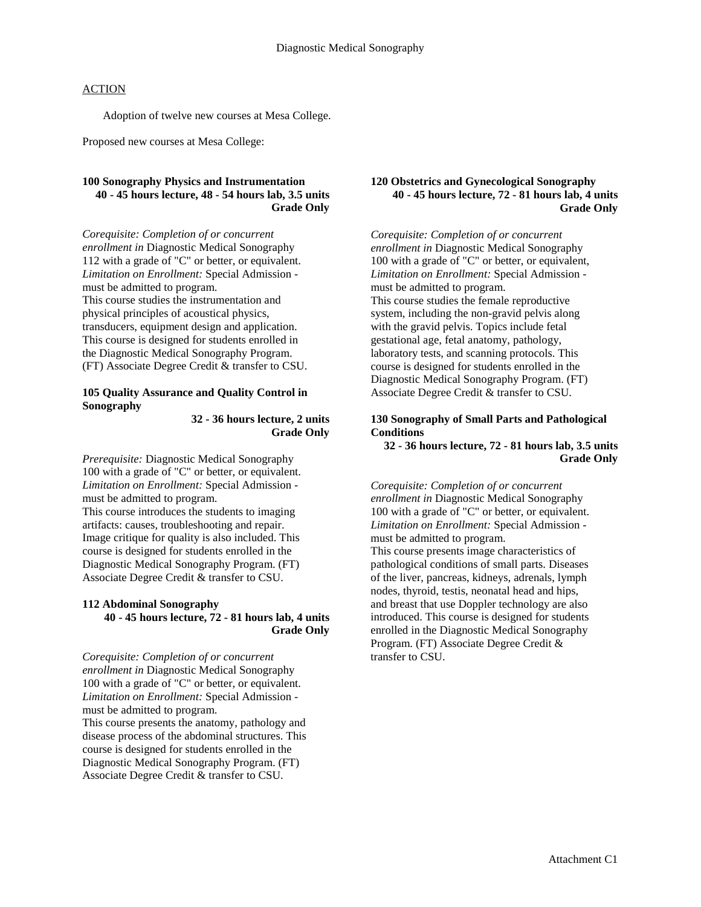Adoption of twelve new courses at Mesa College.

Proposed new courses at Mesa College:

#### **100 Sonography Physics and Instrumentation 40 - 45 hours lecture, 48 - 54 hours lab, 3.5 units Grade Only**

*Corequisite: Completion of or concurrent enrollment in* Diagnostic Medical Sonography 112 with a grade of "C" or better, or equivalent. *Limitation on Enrollment:* Special Admission must be admitted to program. This course studies the instrumentation and physical principles of acoustical physics, transducers, equipment design and application. This course is designed for students enrolled in the Diagnostic Medical Sonography Program. (FT) Associate Degree Credit & transfer to CSU.

#### **105 Quality Assurance and Quality Control in Sonography**

**32 - 36 hours lecture, 2 units Grade Only**

*Prerequisite:* Diagnostic Medical Sonography 100 with a grade of "C" or better, or equivalent. *Limitation on Enrollment:* Special Admission must be admitted to program. This course introduces the students to imaging artifacts: causes, troubleshooting and repair. Image critique for quality is also included. This course is designed for students enrolled in the Diagnostic Medical Sonography Program. (FT) Associate Degree Credit & transfer to CSU.

#### **112 Abdominal Sonography 40 - 45 hours lecture, 72 - 81 hours lab, 4 units Grade Only**

*Corequisite: Completion of or concurrent enrollment in* Diagnostic Medical Sonography 100 with a grade of "C" or better, or equivalent. *Limitation on Enrollment:* Special Admission must be admitted to program.

This course presents the anatomy, pathology and disease process of the abdominal structures. This course is designed for students enrolled in the Diagnostic Medical Sonography Program. (FT) Associate Degree Credit & transfer to CSU.

#### **120 Obstetrics and Gynecological Sonography 40 - 45 hours lecture, 72 - 81 hours lab, 4 units Grade Only**

*Corequisite: Completion of or concurrent enrollment in* Diagnostic Medical Sonography 100 with a grade of "C" or better, or equivalent, *Limitation on Enrollment:* Special Admission must be admitted to program. This course studies the female reproductive system, including the non-gravid pelvis along with the gravid pelvis. Topics include fetal gestational age, fetal anatomy, pathology, laboratory tests, and scanning protocols. This course is designed for students enrolled in the Diagnostic Medical Sonography Program. (FT) Associate Degree Credit & transfer to CSU.

#### **130 Sonography of Small Parts and Pathological Conditions**

**32 - 36 hours lecture, 72 - 81 hours lab, 3.5 units Grade Only**

*Corequisite: Completion of or concurrent enrollment in* Diagnostic Medical Sonography 100 with a grade of "C" or better, or equivalent. *Limitation on Enrollment:* Special Admission must be admitted to program. This course presents image characteristics of pathological conditions of small parts. Diseases of the liver, pancreas, kidneys, adrenals, lymph nodes, thyroid, testis, neonatal head and hips, and breast that use Doppler technology are also introduced. This course is designed for students enrolled in the Diagnostic Medical Sonography Program. (FT) Associate Degree Credit & transfer to CSU.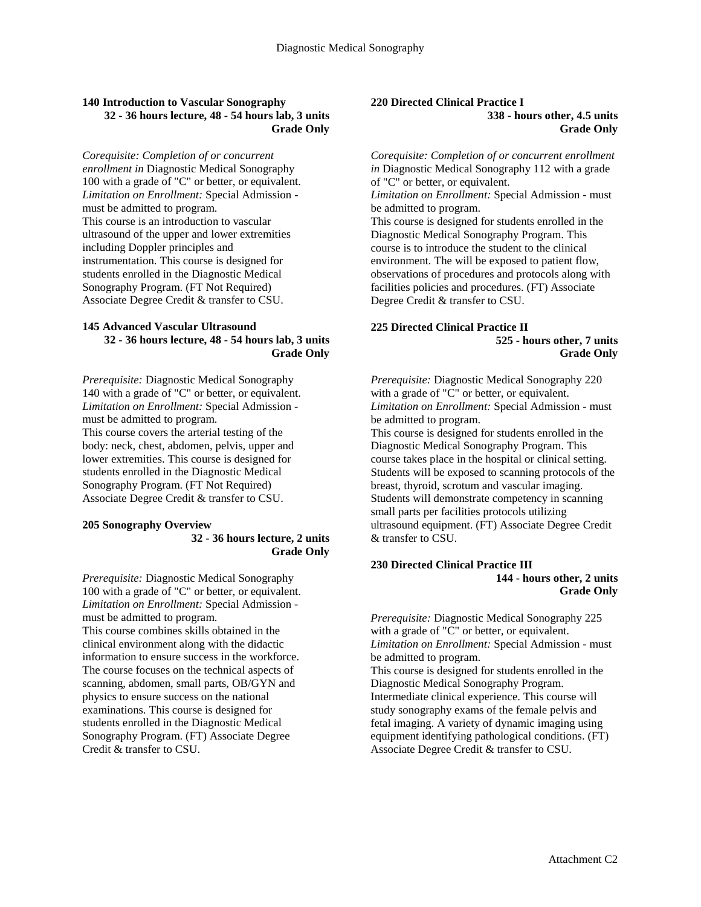#### **140 Introduction to Vascular Sonography 32 - 36 hours lecture, 48 - 54 hours lab, 3 units Grade Only**

*Corequisite: Completion of or concurrent enrollment in* Diagnostic Medical Sonography 100 with a grade of "C" or better, or equivalent. *Limitation on Enrollment:* Special Admission must be admitted to program. This course is an introduction to vascular ultrasound of the upper and lower extremities including Doppler principles and instrumentation. This course is designed for students enrolled in the Diagnostic Medical Sonography Program. (FT Not Required) Associate Degree Credit & transfer to CSU.

#### **145 Advanced Vascular Ultrasound 32 - 36 hours lecture, 48 - 54 hours lab, 3 units Grade Only**

*Prerequisite:* Diagnostic Medical Sonography 140 with a grade of "C" or better, or equivalent. *Limitation on Enrollment:* Special Admission must be admitted to program. This course covers the arterial testing of the body: neck, chest, abdomen, pelvis, upper and lower extremities. This course is designed for students enrolled in the Diagnostic Medical Sonography Program. (FT Not Required) Associate Degree Credit & transfer to CSU.

#### **205 Sonography Overview**

### **32 - 36 hours lecture, 2 units Grade Only**

*Prerequisite:* Diagnostic Medical Sonography 100 with a grade of "C" or better, or equivalent. *Limitation on Enrollment:* Special Admission must be admitted to program.

This course combines skills obtained in the clinical environment along with the didactic information to ensure success in the workforce. The course focuses on the technical aspects of scanning, abdomen, small parts, OB/GYN and physics to ensure success on the national examinations. This course is designed for students enrolled in the Diagnostic Medical Sonography Program. (FT) Associate Degree Credit & transfer to CSU.

#### **220 Directed Clinical Practice I 338 - hours other, 4.5 units Grade Only**

*Corequisite: Completion of or concurrent enrollment in* Diagnostic Medical Sonography 112 with a grade of "C" or better, or equivalent.

*Limitation on Enrollment:* Special Admission - must be admitted to program.

This course is designed for students enrolled in the Diagnostic Medical Sonography Program. This course is to introduce the student to the clinical environment. The will be exposed to patient flow, observations of procedures and protocols along with facilities policies and procedures. (FT) Associate Degree Credit & transfer to CSU.

#### **225 Directed Clinical Practice II 525 - hours other, 7 units Grade Only**

*Prerequisite:* Diagnostic Medical Sonography 220 with a grade of "C" or better, or equivalent. *Limitation on Enrollment:* Special Admission - must be admitted to program.

This course is designed for students enrolled in the Diagnostic Medical Sonography Program. This course takes place in the hospital or clinical setting. Students will be exposed to scanning protocols of the breast, thyroid, scrotum and vascular imaging. Students will demonstrate competency in scanning small parts per facilities protocols utilizing ultrasound equipment. (FT) Associate Degree Credit & transfer to CSU.

#### **230 Directed Clinical Practice III 144 - hours other, 2 units Grade Only**

*Prerequisite:* Diagnostic Medical Sonography 225 with a grade of "C" or better, or equivalent. *Limitation on Enrollment:* Special Admission - must be admitted to program.

This course is designed for students enrolled in the Diagnostic Medical Sonography Program. Intermediate clinical experience. This course will study sonography exams of the female pelvis and fetal imaging. A variety of dynamic imaging using equipment identifying pathological conditions. (FT) Associate Degree Credit & transfer to CSU.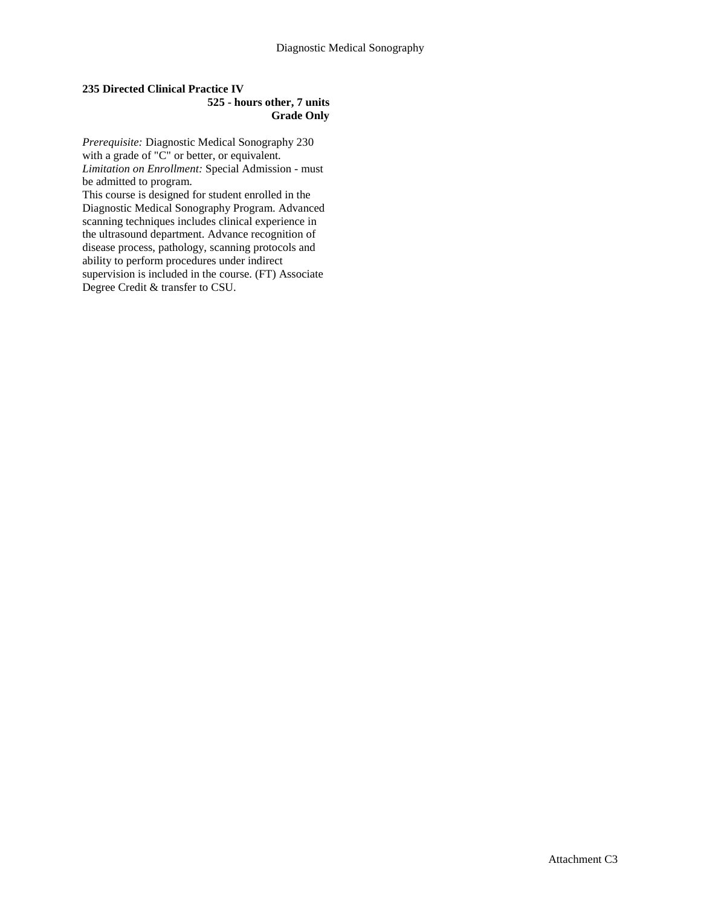#### **235 Directed Clinical Practice IV 525 - hours other, 7 units Grade Only**

*Prerequisite:* Diagnostic Medical Sonography 230 with a grade of "C" or better, or equivalent. *Limitation on Enrollment:* Special Admission - must be admitted to program.

This course is designed for student enrolled in the Diagnostic Medical Sonography Program. Advanced scanning techniques includes clinical experience in the ultrasound department. Advance recognition of disease process, pathology, scanning protocols and ability to perform procedures under indirect supervision is included in the course. (FT) Associate Degree Credit & transfer to CSU.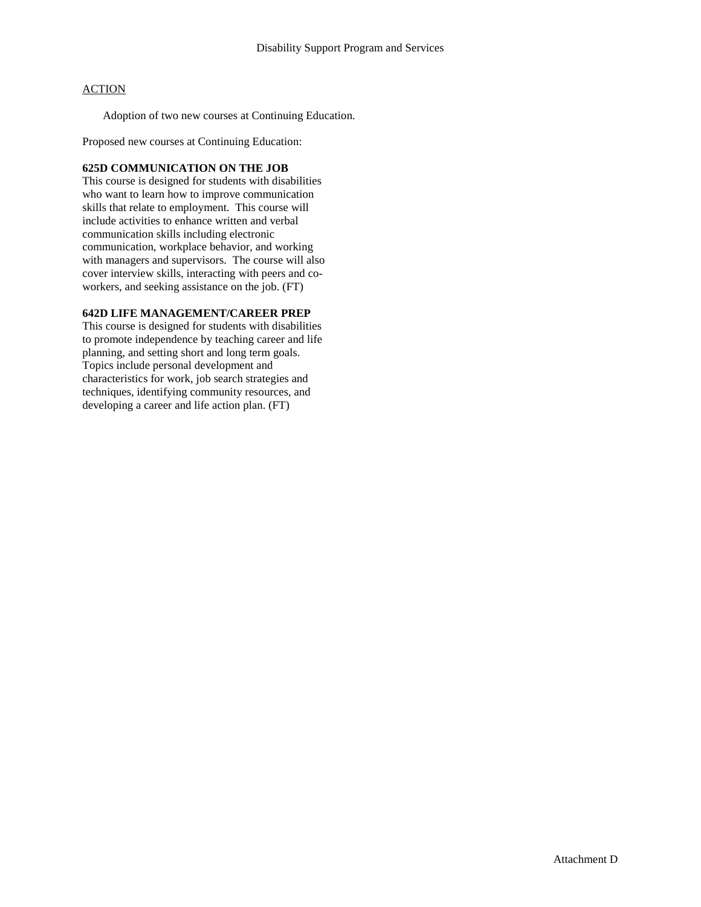Adoption of two new courses at Continuing Education.

Proposed new courses at Continuing Education:

#### **625D COMMUNICATION ON THE JOB**

This course is designed for students with disabilities who want to learn how to improve communication skills that relate to employment. This course will include activities to enhance written and verbal communication skills including electronic communication, workplace behavior, and working with managers and supervisors. The course will also cover interview skills, interacting with peers and coworkers, and seeking assistance on the job. (FT)

#### **642D LIFE MANAGEMENT/CAREER PREP**

This course is designed for students with disabilities to promote independence by teaching career and life planning, and setting short and long term goals. Topics include personal development and characteristics for work, job search strategies and techniques, identifying community resources, and developing a career and life action plan. (FT)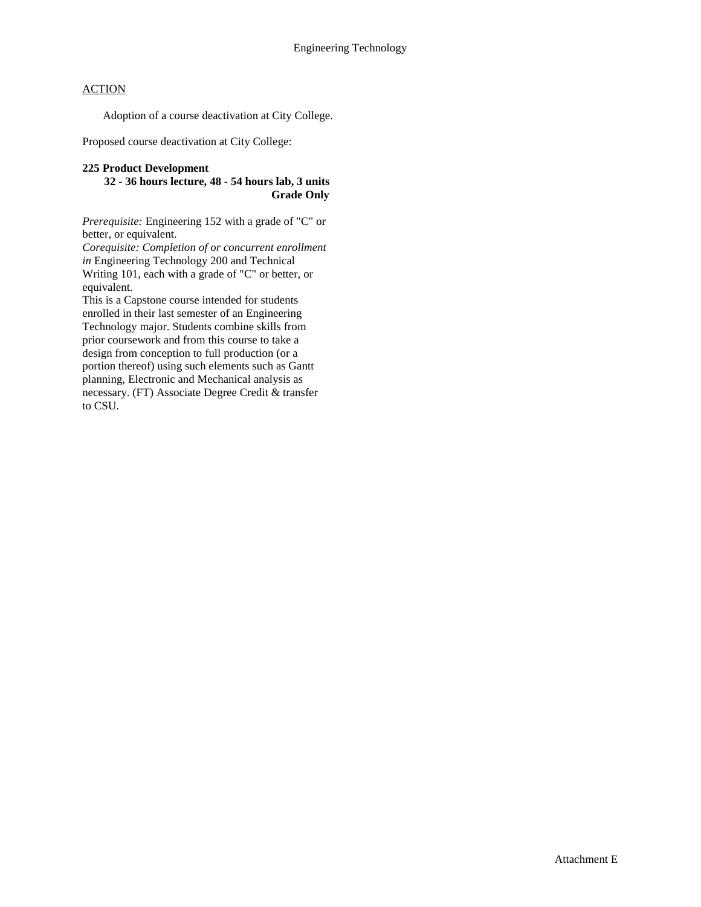Adoption of a course deactivation at City College.

Proposed course deactivation at City College:

#### **225 Product Development**

**32 - 36 hours lecture, 48 - 54 hours lab, 3 units Grade Only**

*Prerequisite:* Engineering 152 with a grade of "C" or better, or equivalent.

*Corequisite: Completion of or concurrent enrollment in* Engineering Technology 200 and Technical Writing 101, each with a grade of "C" or better, or equivalent.

This is a Capstone course intended for students enrolled in their last semester of an Engineering Technology major. Students combine skills from prior coursework and from this course to take a design from conception to full production (or a portion thereof) using such elements such as Gantt planning, Electronic and Mechanical analysis as necessary. (FT) Associate Degree Credit & transfer to CSU.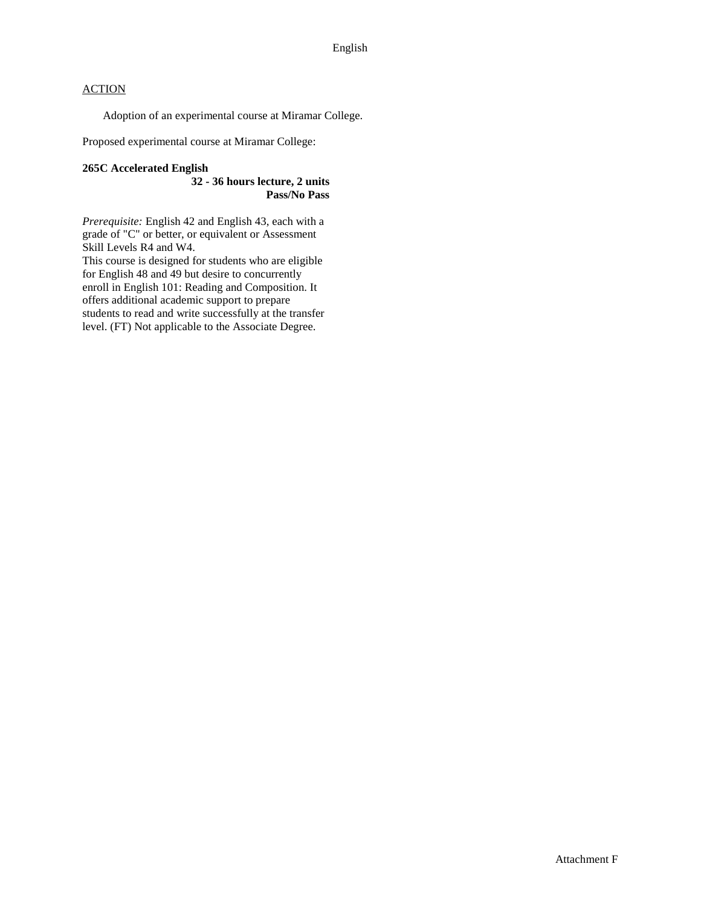Adoption of an experimental course at Miramar College.

Proposed experimental course at Miramar College:

#### **265C Accelerated English**

**32 - 36 hours lecture, 2 units Pass/No Pass**

*Prerequisite:* English 42 and English 43, each with a grade of "C" or better, or equivalent or Assessment Skill Levels R4 and W4.

This course is designed for students who are eligible for English 48 and 49 but desire to concurrently enroll in English 101: Reading and Composition. It offers additional academic support to prepare students to read and write successfully at the transfer level. (FT) Not applicable to the Associate Degree.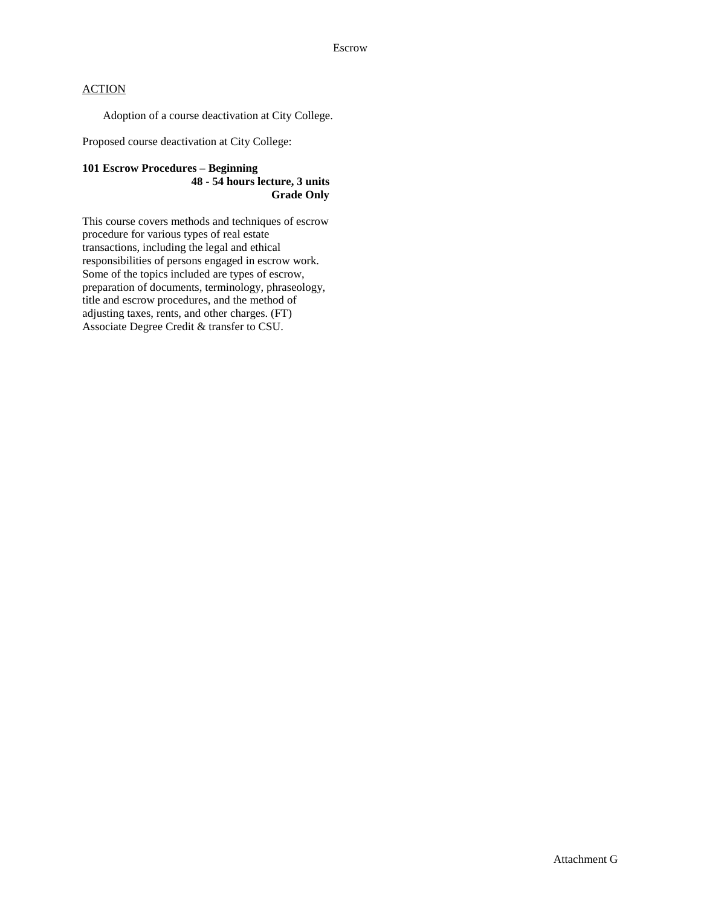Adoption of a course deactivation at City College.

Proposed course deactivation at City College:

#### **101 Escrow Procedures – Beginning 48 - 54 hours lecture, 3 units Grade Only**

This course covers methods and techniques of escrow procedure for various types of real estate transactions, including the legal and ethical responsibilities of persons engaged in escrow work. Some of the topics included are types of escrow, preparation of documents, terminology, phraseology, title and escrow procedures, and the method of adjusting taxes, rents, and other charges. (FT) Associate Degree Credit & transfer to CSU.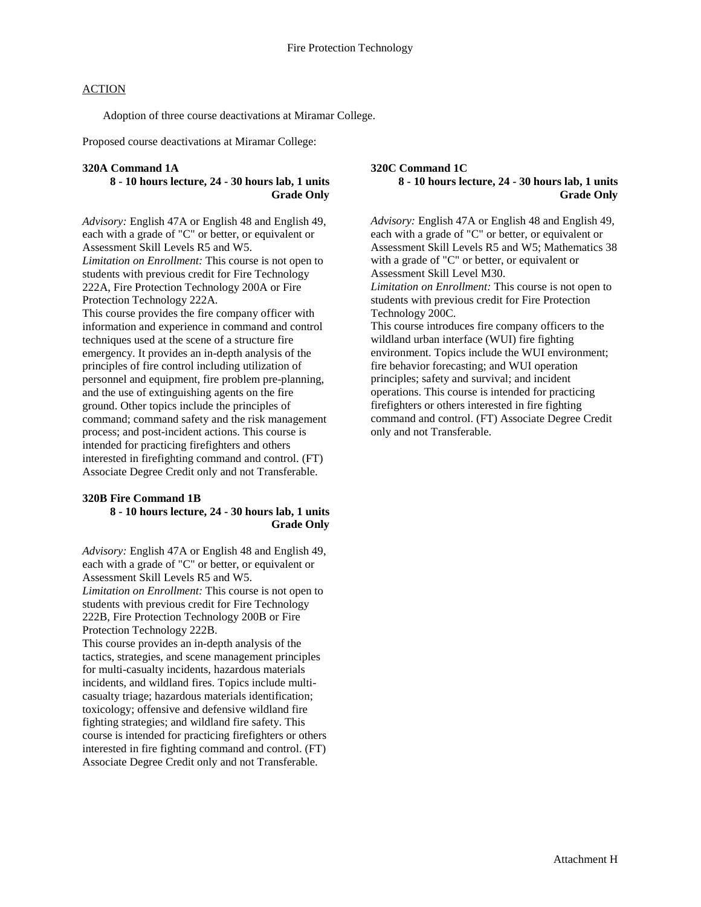Adoption of three course deactivations at Miramar College.

Proposed course deactivations at Miramar College:

#### **320A Command 1A**

#### **8 - 10 hours lecture, 24 - 30 hours lab, 1 units Grade Only**

*Advisory:* English 47A or English 48 and English 49, each with a grade of "C" or better, or equivalent or Assessment Skill Levels R5 and W5. *Limitation on Enrollment:* This course is not open to students with previous credit for Fire Technology 222A, Fire Protection Technology 200A or Fire Protection Technology 222A. This course provides the fire company officer with information and experience in command and control techniques used at the scene of a structure fire emergency. It provides an in-depth analysis of the principles of fire control including utilization of personnel and equipment, fire problem pre-planning, and the use of extinguishing agents on the fire ground. Other topics include the principles of command; command safety and the risk management process; and post-incident actions. This course is intended for practicing firefighters and others interested in firefighting command and control. (FT) Associate Degree Credit only and not Transferable.

#### **320B Fire Command 1B 8 - 10 hours lecture, 24 - 30 hours lab, 1 units Grade Only**

*Advisory:* English 47A or English 48 and English 49, each with a grade of "C" or better, or equivalent or Assessment Skill Levels R5 and W5.

*Limitation on Enrollment:* This course is not open to students with previous credit for Fire Technology 222B, Fire Protection Technology 200B or Fire Protection Technology 222B.

This course provides an in-depth analysis of the tactics, strategies, and scene management principles for multi-casualty incidents, hazardous materials incidents, and wildland fires. Topics include multicasualty triage; hazardous materials identification; toxicology; offensive and defensive wildland fire fighting strategies; and wildland fire safety. This course is intended for practicing firefighters or others interested in fire fighting command and control. (FT) Associate Degree Credit only and not Transferable.

#### **320C Command 1C 8 - 10 hours lecture, 24 - 30 hours lab, 1 units Grade Only**

*Advisory:* English 47A or English 48 and English 49, each with a grade of "C" or better, or equivalent or Assessment Skill Levels R5 and W5; Mathematics 38 with a grade of "C" or better, or equivalent or Assessment Skill Level M30. *Limitation on Enrollment:* This course is not open to students with previous credit for Fire Protection Technology 200C. This course introduces fire company officers to the wildland urban interface (WUI) fire fighting environment. Topics include the WUI environment; fire behavior forecasting; and WUI operation principles; safety and survival; and incident operations. This course is intended for practicing firefighters or others interested in fire fighting command and control. (FT) Associate Degree Credit only and not Transferable.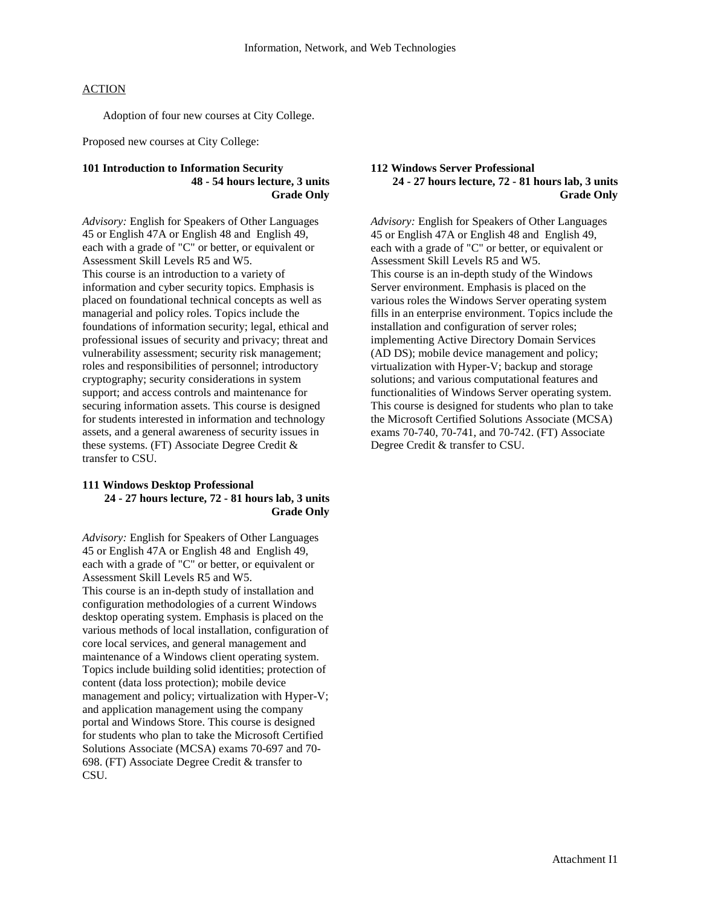Adoption of four new courses at City College.

Proposed new courses at City College:

#### **101 Introduction to Information Security 48 - 54 hours lecture, 3 units Grade Only**

*Advisory:* English for Speakers of Other Languages 45 or English 47A or English 48 and English 49, each with a grade of "C" or better, or equivalent or Assessment Skill Levels R5 and W5. This course is an introduction to a variety of information and cyber security topics. Emphasis is placed on foundational technical concepts as well as managerial and policy roles. Topics include the foundations of information security; legal, ethical and professional issues of security and privacy; threat and vulnerability assessment; security risk management; roles and responsibilities of personnel; introductory cryptography; security considerations in system support; and access controls and maintenance for securing information assets. This course is designed for students interested in information and technology assets, and a general awareness of security issues in these systems. (FT) Associate Degree Credit & transfer to CSU.

#### **111 Windows Desktop Professional 24 - 27 hours lecture, 72 - 81 hours lab, 3 units Grade Only**

*Advisory:* English for Speakers of Other Languages 45 or English 47A or English 48 and English 49, each with a grade of "C" or better, or equivalent or Assessment Skill Levels R5 and W5.

This course is an in-depth study of installation and configuration methodologies of a current Windows desktop operating system. Emphasis is placed on the various methods of local installation, configuration of core local services, and general management and maintenance of a Windows client operating system. Topics include building solid identities; protection of content (data loss protection); mobile device management and policy; virtualization with Hyper-V; and application management using the company portal and Windows Store. This course is designed for students who plan to take the Microsoft Certified Solutions Associate (MCSA) exams 70-697 and 70- 698. (FT) Associate Degree Credit & transfer to CSU.

#### **112 Windows Server Professional 24 - 27 hours lecture, 72 - 81 hours lab, 3 units Grade Only**

*Advisory:* English for Speakers of Other Languages 45 or English 47A or English 48 and English 49, each with a grade of "C" or better, or equivalent or Assessment Skill Levels R5 and W5. This course is an in-depth study of the Windows Server environment. Emphasis is placed on the various roles the Windows Server operating system fills in an enterprise environment. Topics include the installation and configuration of server roles; implementing Active Directory Domain Services (AD DS); mobile device management and policy; virtualization with Hyper-V; backup and storage solutions; and various computational features and functionalities of Windows Server operating system. This course is designed for students who plan to take the Microsoft Certified Solutions Associate (MCSA) exams 70-740, 70-741, and 70-742. (FT) Associate Degree Credit & transfer to CSU.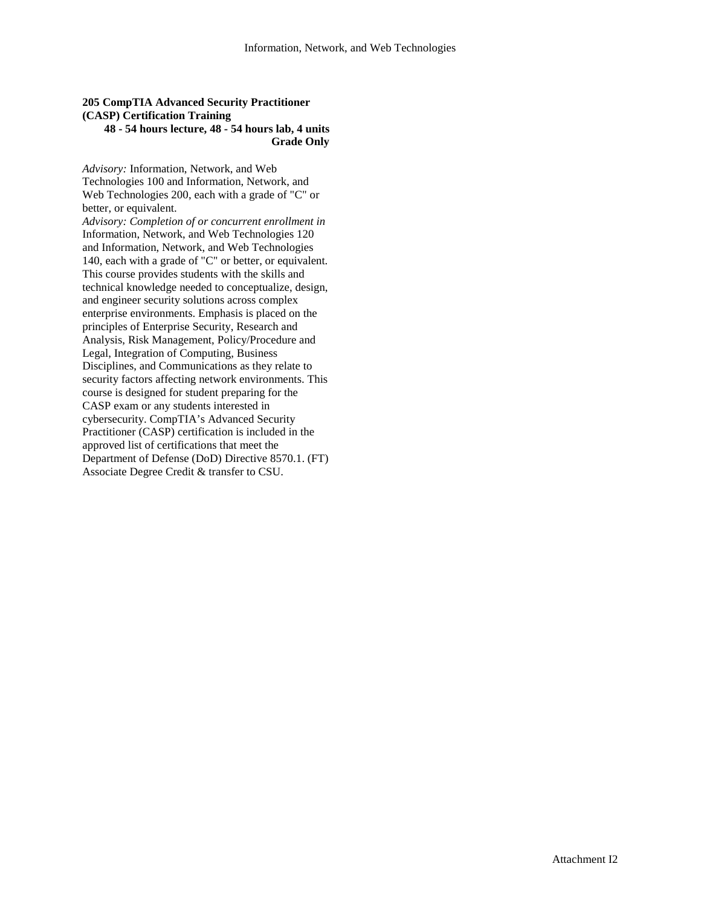#### **205 CompTIA Advanced Security Practitioner (CASP) Certification Training 48 - 54 hours lecture, 48 - 54 hours lab, 4 units**

# **Grade Only**

*Advisory:* Information, Network, and Web Technologies 100 and Information, Network, and Web Technologies 200, each with a grade of "C" or better, or equivalent.

*Advisory: Completion of or concurrent enrollment in*  Information, Network, and Web Technologies 120 and Information, Network, and Web Technologies 140, each with a grade of "C" or better, or equivalent. This course provides students with the skills and technical knowledge needed to conceptualize, design, and engineer security solutions across complex enterprise environments. Emphasis is placed on the principles of Enterprise Security, Research and Analysis, Risk Management, Policy/Procedure and Legal, Integration of Computing, Business Disciplines, and Communications as they relate to security factors affecting network environments. This course is designed for student preparing for the CASP exam or any students interested in cybersecurity. CompTIA's Advanced Security Practitioner (CASP) certification is included in the approved list of certifications that meet the Department of Defense (DoD) Directive 8570.1. (FT) Associate Degree Credit & transfer to CSU.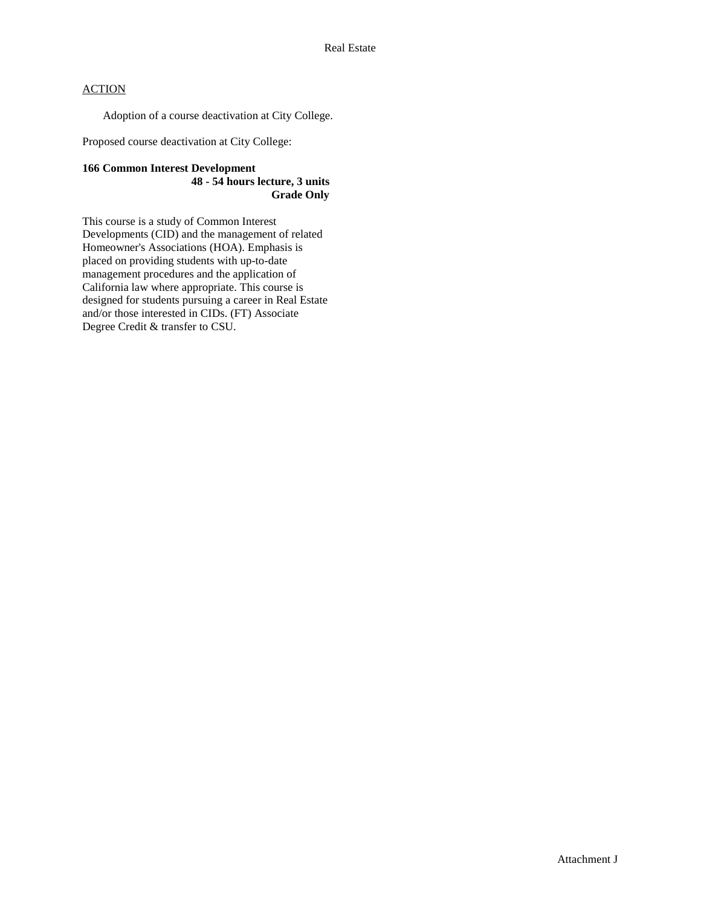Adoption of a course deactivation at City College.

Proposed course deactivation at City College:

#### **166 Common Interest Development 48 - 54 hours lecture, 3 units Grade Only**

This course is a study of Common Interest Developments (CID) and the management of related Homeowner's Associations (HOA). Emphasis is placed on providing students with up-to-date management procedures and the application of California law where appropriate. This course is designed for students pursuing a career in Real Estate and/or those interested in CIDs. (FT) Associate Degree Credit & transfer to CSU.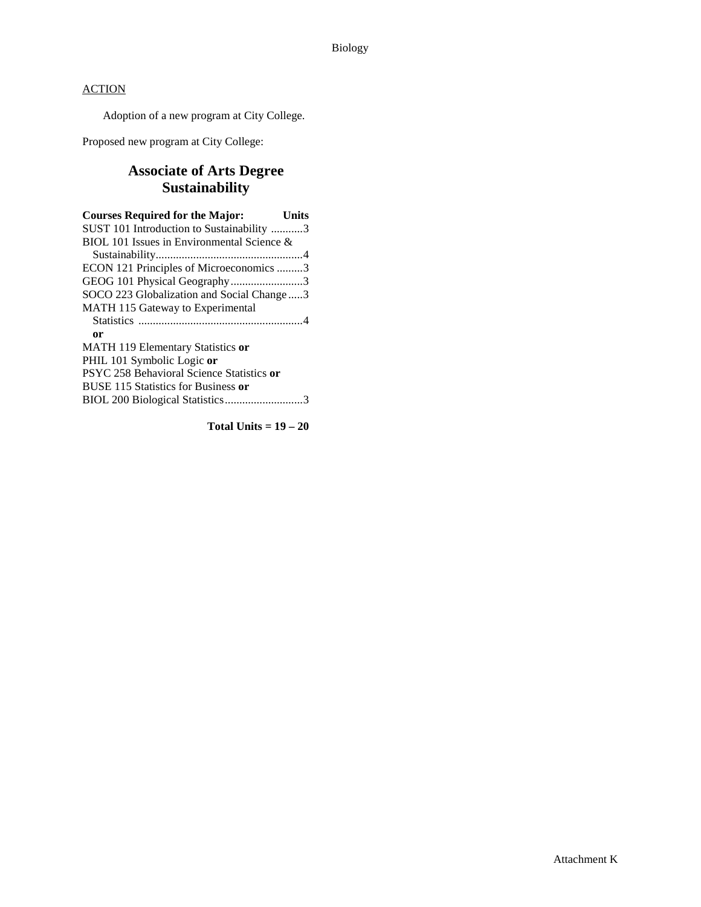Adoption of a new program at City College.

Proposed new program at City College:

# **Associate of Arts Degree Sustainability**

**Total Units = 19 – 20**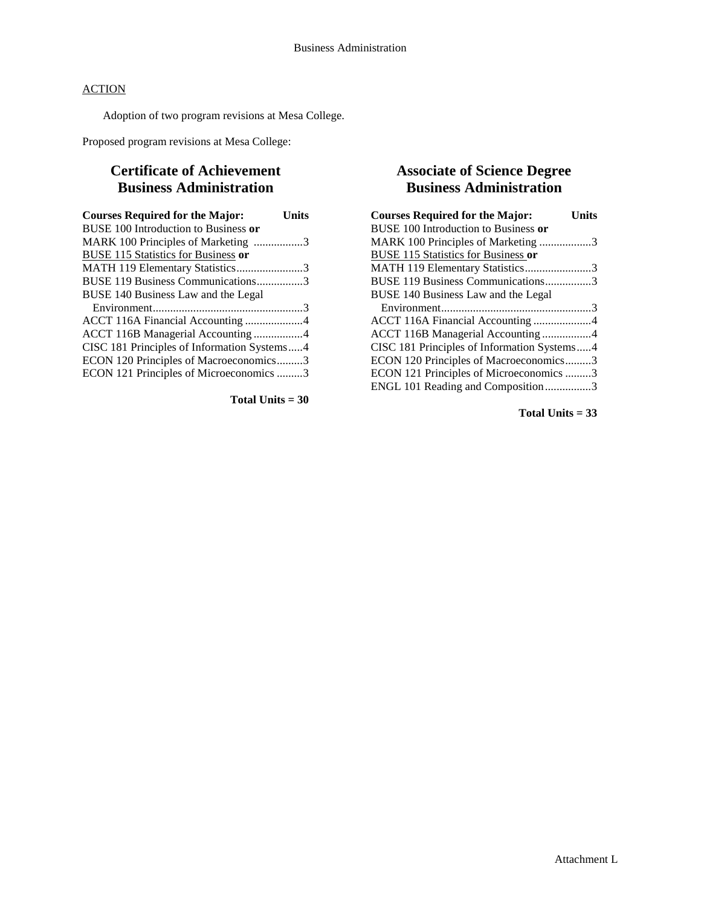Adoption of two program revisions at Mesa College.

Proposed program revisions at Mesa College:

# **Certificate of Achievement Business Administration**

| <b>Courses Required for the Major:</b>      | Units |
|---------------------------------------------|-------|
| BUSE 100 Introduction to Business or        |       |
| MARK 100 Principles of Marketing 3          |       |
| <b>BUSE 115 Statistics for Business or</b>  |       |
| MATH 119 Elementary Statistics3             |       |
| BUSE 119 Business Communications3           |       |
| BUSE 140 Business Law and the Legal         |       |
|                                             |       |
|                                             |       |
| ACCT 116B Managerial Accounting4            |       |
| CISC 181 Principles of Information Systems4 |       |
| ECON 120 Principles of Macroeconomics3      |       |
| ECON 121 Principles of Microeconomics 3     |       |

**Total Units = 30**

# **Associate of Science Degree Business Administration**

| <b>Courses Required for the Major:</b>      | Units |
|---------------------------------------------|-------|
| BUSE 100 Introduction to Business or        |       |
| MARK 100 Principles of Marketing 3          |       |
| <b>BUSE 115 Statistics for Business or</b>  |       |
| MATH 119 Elementary Statistics3             |       |
| BUSE 119 Business Communications3           |       |
| BUSE 140 Business Law and the Legal         |       |
|                                             |       |
|                                             |       |
| ACCT 116B Managerial Accounting4            |       |
| CISC 181 Principles of Information Systems4 |       |
| ECON 120 Principles of Macroeconomics3      |       |
| ECON 121 Principles of Microeconomics 3     |       |
| ENGL 101 Reading and Composition3           |       |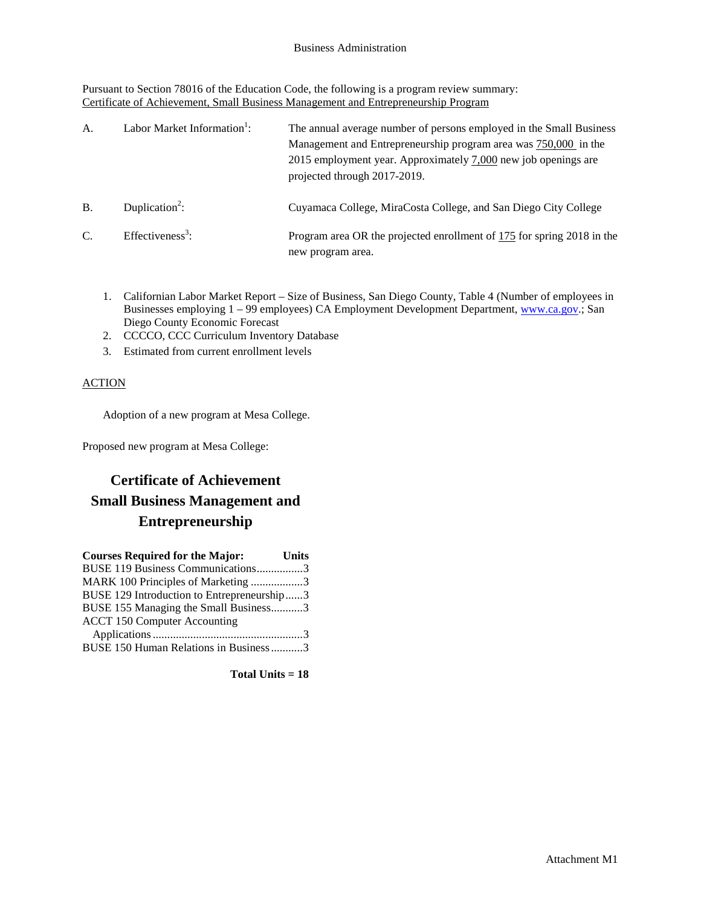Pursuant to Section 78016 of the Education Code, the following is a program review summary: Certificate of Achievement, Small Business Management and Entrepreneurship Program

| A.            | Labor Market Information <sup>1</sup> : | The annual average number of persons employed in the Small Business<br>Management and Entrepreneurship program area was 750,000 in the<br>2015 employment year. Approximately 7,000 new job openings are<br>projected through 2017-2019. |
|---------------|-----------------------------------------|------------------------------------------------------------------------------------------------------------------------------------------------------------------------------------------------------------------------------------------|
| <b>B.</b>     | Duplication <sup>2</sup> :              | Cuyamaca College, MiraCosta College, and San Diego City College                                                                                                                                                                          |
| $\mathcal{C}$ | $Effectiveness3$ :                      | Program area OR the projected enrollment of 175 for spring 2018 in the<br>new program area.                                                                                                                                              |

- 1. Californian Labor Market Report Size of Business, San Diego County, Table 4 (Number of employees in Businesses employing 1 – 99 employees) CA Employment Development Department, [www.ca.gov.;](http://www.ca.gov/) San Diego County Economic Forecast
- 2. CCCCO, CCC Curriculum Inventory Database
- 3. Estimated from current enrollment levels

# **ACTION**

Adoption of a new program at Mesa College.

Proposed new program at Mesa College:

# **Certificate of Achievement Small Business Management and Entrepreneurship**

| <b>Courses Required for the Major:</b><br><b>Units</b> |  |
|--------------------------------------------------------|--|
| BUSE 119 Business Communications3                      |  |
| MARK 100 Principles of Marketing 3                     |  |
| BUSE 129 Introduction to Entrepreneurship3             |  |
| BUSE 155 Managing the Small Business3                  |  |
| <b>ACCT 150 Computer Accounting</b>                    |  |
|                                                        |  |
| BUSE 150 Human Relations in Business3                  |  |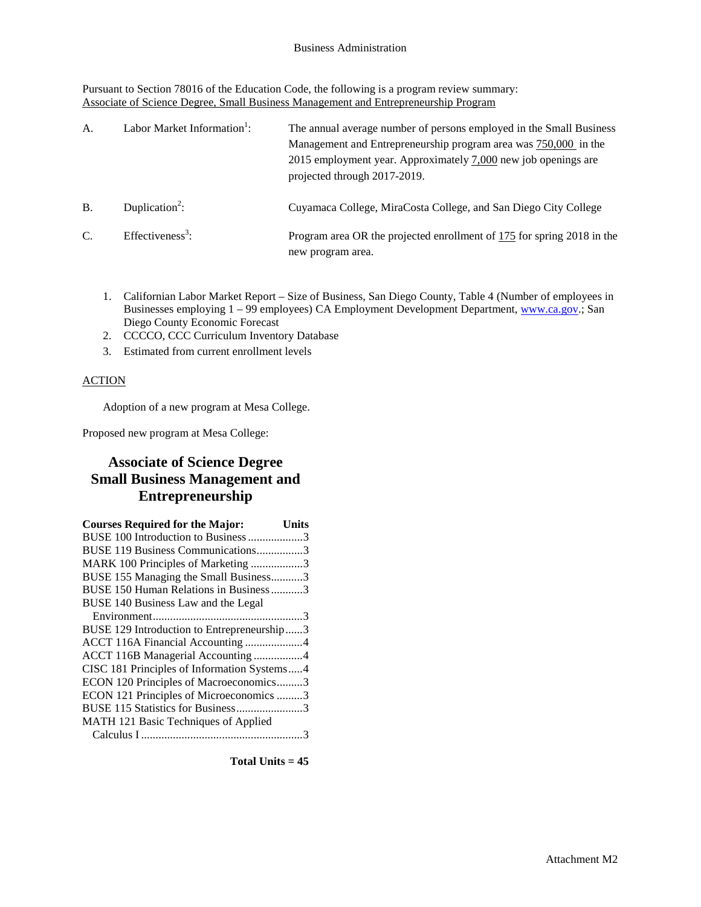Pursuant to Section 78016 of the Education Code, the following is a program review summary: Associate of Science Degree, Small Business Management and Entrepreneurship Program

| A.            | Labor Market Information <sup>1</sup> : | The annual average number of persons employed in the Small Business<br>Management and Entrepreneurship program area was 750,000 in the<br>2015 employment year. Approximately 7,000 new job openings are<br>projected through 2017-2019. |
|---------------|-----------------------------------------|------------------------------------------------------------------------------------------------------------------------------------------------------------------------------------------------------------------------------------------|
| <b>B.</b>     | Duplication <sup>2</sup> :              | Cuyamaca College, MiraCosta College, and San Diego City College                                                                                                                                                                          |
| $\mathcal{C}$ | $Effectiveness3$ :                      | Program area OR the projected enrollment of 175 for spring 2018 in the<br>new program area.                                                                                                                                              |

- 1. Californian Labor Market Report Size of Business, San Diego County, Table 4 (Number of employees in Businesses employing 1 – 99 employees) CA Employment Development Department, [www.ca.gov.;](http://www.ca.gov/) San Diego County Economic Forecast
- 2. CCCCO, CCC Curriculum Inventory Database
- 3. Estimated from current enrollment levels

#### **ACTION**

Adoption of a new program at Mesa College.

Proposed new program at Mesa College:

# **Associate of Science Degree Small Business Management and Entrepreneurship**

| <b>Courses Required for the Major:</b>      | Units |
|---------------------------------------------|-------|
| BUSE 100 Introduction to Business 3         |       |
| BUSE 119 Business Communications3           |       |
| MARK 100 Principles of Marketing 3          |       |
| BUSE 155 Managing the Small Business3       |       |
| BUSE 150 Human Relations in Business3       |       |
| BUSE 140 Business Law and the Legal         |       |
|                                             |       |
| BUSE 129 Introduction to Entrepreneurship3  |       |
| ACCT 116A Financial Accounting 4            |       |
| ACCT 116B Managerial Accounting 4           |       |
| CISC 181 Principles of Information Systems4 |       |
| ECON 120 Principles of Macroeconomics3      |       |
| ECON 121 Principles of Microeconomics 3     |       |
| BUSE 115 Statistics for Business3           |       |
| MATH 121 Basic Techniques of Applied        |       |
|                                             |       |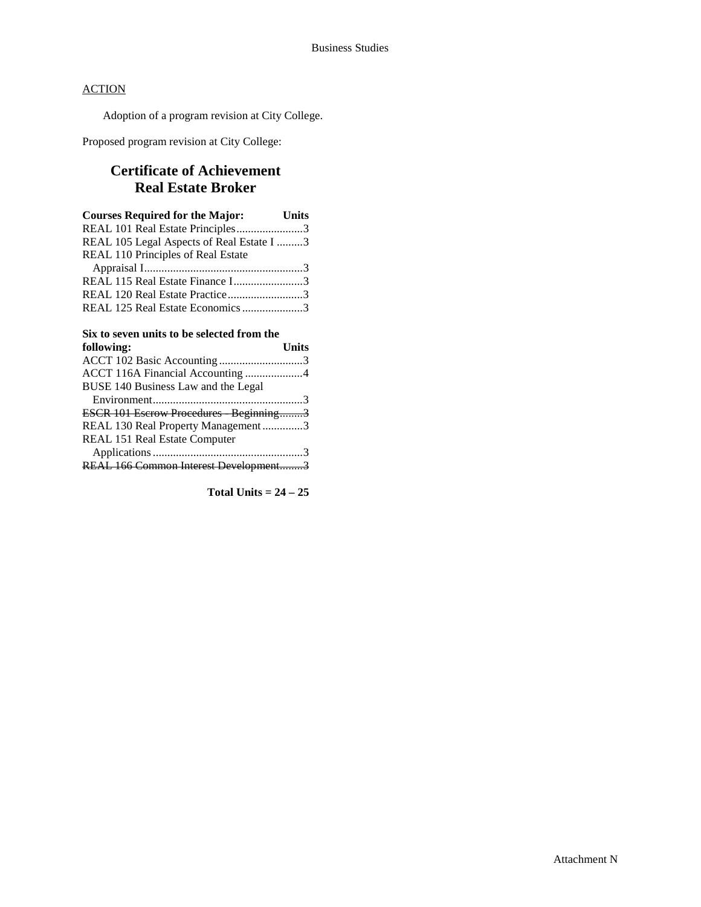Adoption of a program revision at City College.

Proposed program revision at City College:

# **Certificate of Achievement Real Estate Broker**

| <b>Courses Required for the Major:</b> Units |  |
|----------------------------------------------|--|
| REAL 101 Real Estate Principles3             |  |
| REAL 105 Legal Aspects of Real Estate I 3    |  |
| REAL 110 Principles of Real Estate           |  |
|                                              |  |
| REAL 115 Real Estate Finance I3              |  |
| REAL 120 Real Estate Practice3               |  |
| REAL 125 Real Estate Economics 3             |  |

#### **Six to seven units to be selected from the**   $following:$

| TOMOWHIC.                             | <b>UMB</b> |
|---------------------------------------|------------|
|                                       |            |
| ACCT 116A Financial Accounting 4      |            |
| BUSE 140 Business Law and the Legal   |            |
|                                       |            |
| ESCR 101 Escrow Procedures Beginning3 |            |
| REAL 130 Real Property Management3    |            |
| REAL 151 Real Estate Computer         |            |
|                                       |            |
| REAL 166 Common Interest Development3 |            |
|                                       |            |

**Total Units = 24 – 25**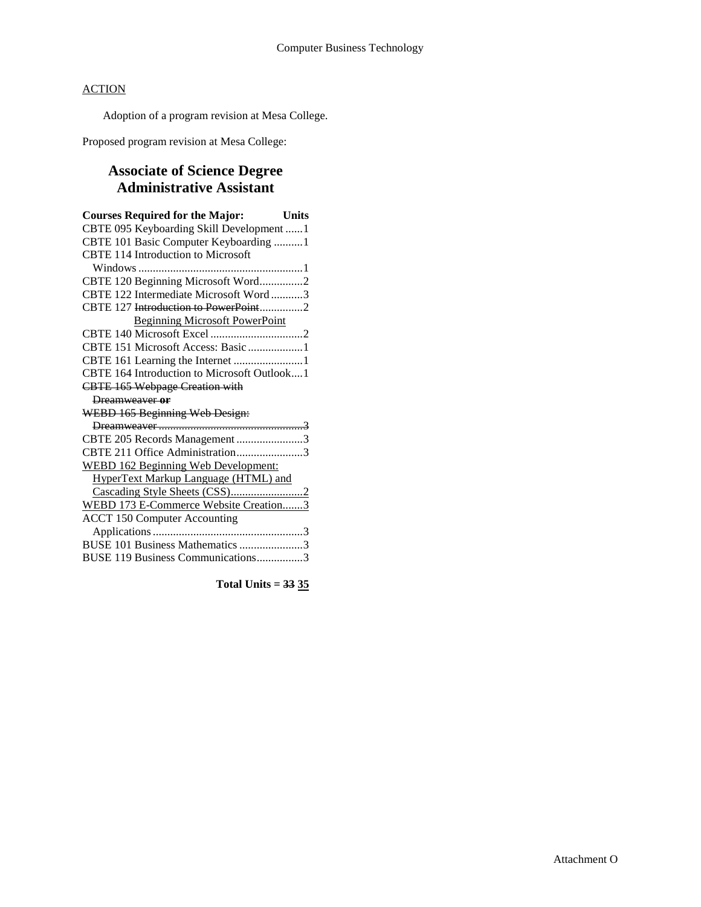Adoption of a program revision at Mesa College.

Proposed program revision at Mesa College:

# **Associate of Science Degree Administrative Assistant**

| <b>Courses Required for the Major:</b> Units |  |
|----------------------------------------------|--|
| CBTE 095 Keyboarding Skill Development 1     |  |
| CBTE 101 Basic Computer Keyboarding 1        |  |
| <b>CBTE 114 Introduction to Microsoft</b>    |  |
|                                              |  |
| CBTE 120 Beginning Microsoft Word2           |  |
| CBTE 122 Intermediate Microsoft Word3        |  |
| CBTE 127 Introduction to PowerPoint2         |  |
| <b>Beginning Microsoft PowerPoint</b>        |  |
|                                              |  |
| CBTE 151 Microsoft Access: Basic 1           |  |
| CBTE 161 Learning the Internet 1             |  |
| CBTE 164 Introduction to Microsoft Outlook1  |  |
| <b>CBTE 165 Webpage Creation with</b>        |  |
| Dreamweaver or                               |  |
| WEBD 165 Beginning Web Design:               |  |
|                                              |  |
| CBTE 205 Records Management 3                |  |
| CBTE 211 Office Administration3              |  |
| <b>WEBD 162 Beginning Web Development:</b>   |  |
| <b>HyperText Markup Language (HTML) and</b>  |  |
|                                              |  |
| WEBD 173 E-Commerce Website Creation3        |  |
| <b>ACCT 150 Computer Accounting</b>          |  |
|                                              |  |
| BUSE 101 Business Mathematics 3              |  |
| BUSE 119 Business Communications3            |  |

**Total Units = 33 35**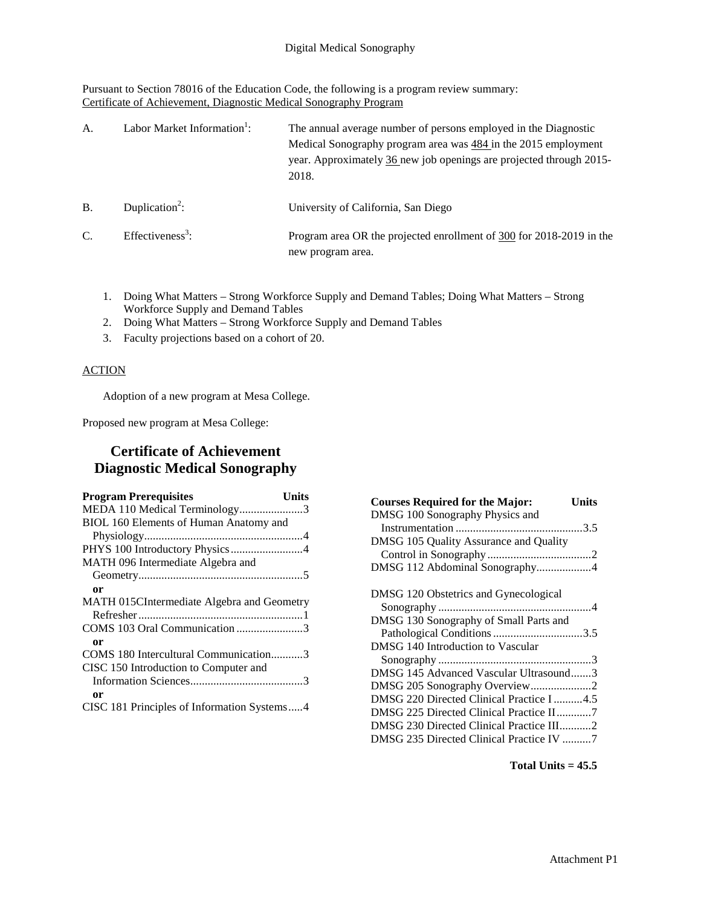Pursuant to Section 78016 of the Education Code, the following is a program review summary: Certificate of Achievement, Diagnostic Medical Sonography Program

| A.              | Labor Market Information <sup>1</sup> : | The annual average number of persons employed in the Diagnostic<br>Medical Sonography program area was $484$ in the 2015 employment<br>year. Approximately 36 new job openings are projected through 2015-<br>2018. |
|-----------------|-----------------------------------------|---------------------------------------------------------------------------------------------------------------------------------------------------------------------------------------------------------------------|
| B.              | Duplication <sup>2</sup> :              | University of California, San Diego                                                                                                                                                                                 |
| $\mathcal{C}$ . | Effectiveness <sup>3</sup> :            | Program area OR the projected enrollment of 300 for 2018-2019 in the<br>new program area.                                                                                                                           |

- 1. Doing What Matters Strong Workforce Supply and Demand Tables; Doing What Matters Strong Workforce Supply and Demand Tables
- 2. Doing What Matters Strong Workforce Supply and Demand Tables
- 3. Faculty projections based on a cohort of 20.

#### **ACTION**

Adoption of a new program at Mesa College.

Proposed new program at Mesa College:

# **Certificate of Achievement Diagnostic Medical Sonography**

| <b>Program Prerequisites</b>                | Units |
|---------------------------------------------|-------|
| MEDA 110 Medical Terminology3               |       |
| BIOL 160 Elements of Human Anatomy and      |       |
|                                             |       |
| PHYS 100 Introductory Physics4              |       |
| MATH 096 Intermediate Algebra and           |       |
|                                             |       |
| or                                          |       |
| MATH 015CIntermediate Algebra and Geometry  |       |
|                                             |       |
| COMS 103 Oral Communication 3               |       |
| 0r                                          |       |
| COMS 180 Intercultural Communication3       |       |
| CISC 150 Introduction to Computer and       |       |
|                                             |       |
| 0r                                          |       |
| CISC 181 Principles of Information Systems4 |       |
|                                             |       |

| <b>Courses Required for the Major:</b><br>Units |  |
|-------------------------------------------------|--|
| DMSG 100 Sonography Physics and                 |  |
|                                                 |  |
| DMSG 105 Quality Assurance and Quality          |  |
|                                                 |  |
| DMSG 112 Abdominal Sonography4                  |  |
| DMSG 120 Obstetrics and Gynecological           |  |
|                                                 |  |
| DMSG 130 Sonography of Small Parts and          |  |
| Pathological Conditions 3.5                     |  |
| DMSG 140 Introduction to Vascular               |  |
|                                                 |  |
| DMSG 145 Advanced Vascular Ultrasound3          |  |
| DMSG 205 Sonography Overview2                   |  |
| DMSG 220 Directed Clinical Practice I 4.5       |  |
| DMSG 225 Directed Clinical Practice II7         |  |
| DMSG 230 Directed Clinical Practice III2        |  |
| DMSG 235 Directed Clinical Practice IV 7        |  |

#### **Total Units = 45.5**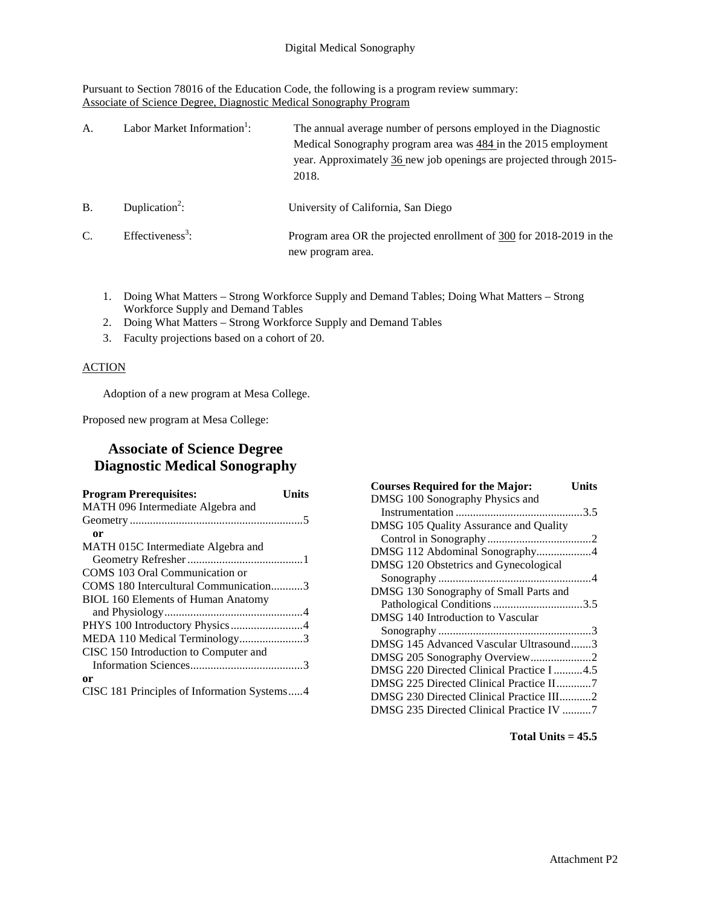Pursuant to Section 78016 of the Education Code, the following is a program review summary: Associate of Science Degree, Diagnostic Medical Sonography Program

| A.              | Labor Market Information <sup>1</sup> : | The annual average number of persons employed in the Diagnostic<br>Medical Sonography program area was $484$ in the 2015 employment<br>year. Approximately 36 new job openings are projected through 2015-<br>2018. |
|-----------------|-----------------------------------------|---------------------------------------------------------------------------------------------------------------------------------------------------------------------------------------------------------------------|
| B.              | Duplication <sup>2</sup> :              | University of California, San Diego                                                                                                                                                                                 |
| $\mathcal{C}$ . | Effectiveness <sup>3</sup> :            | Program area OR the projected enrollment of 300 for 2018-2019 in the<br>new program area.                                                                                                                           |

- 1. Doing What Matters Strong Workforce Supply and Demand Tables; Doing What Matters Strong Workforce Supply and Demand Tables
- 2. Doing What Matters Strong Workforce Supply and Demand Tables
- 3. Faculty projections based on a cohort of 20.

# **ACTION**

Adoption of a new program at Mesa College.

Proposed new program at Mesa College:

# **Associate of Science Degree Diagnostic Medical Sonography**

| <b>Program Prerequisites:</b><br>Units      |  |
|---------------------------------------------|--|
| MATH 096 Intermediate Algebra and           |  |
|                                             |  |
| or                                          |  |
| MATH 015C Intermediate Algebra and          |  |
|                                             |  |
| COMS 103 Oral Communication or              |  |
| COMS 180 Intercultural Communication3       |  |
| <b>BIOL 160 Elements of Human Anatomy</b>   |  |
|                                             |  |
|                                             |  |
| MEDA 110 Medical Terminology3               |  |
| CISC 150 Introduction to Computer and       |  |
|                                             |  |
| 0r                                          |  |
| CISC 181 Principles of Information Systems4 |  |

| <b>Courses Required for the Major:</b><br>Units |
|-------------------------------------------------|
| DMSG 100 Sonography Physics and                 |
|                                                 |
| DMSG 105 Quality Assurance and Quality          |
|                                                 |
| DMSG 112 Abdominal Sonography4                  |
| DMSG 120 Obstetrics and Gynecological           |
|                                                 |
| DMSG 130 Sonography of Small Parts and          |
| Pathological Conditions 3.5                     |
| DMSG 140 Introduction to Vascular               |
|                                                 |
| DMSG 145 Advanced Vascular Ultrasound3          |
| DMSG 205 Sonography Overview2                   |
| DMSG 220 Directed Clinical Practice I 4.5       |
|                                                 |
| DMSG 230 Directed Clinical Practice III2        |
| DMSG 235 Directed Clinical Practice IV 7        |

**Total Units = 45.5**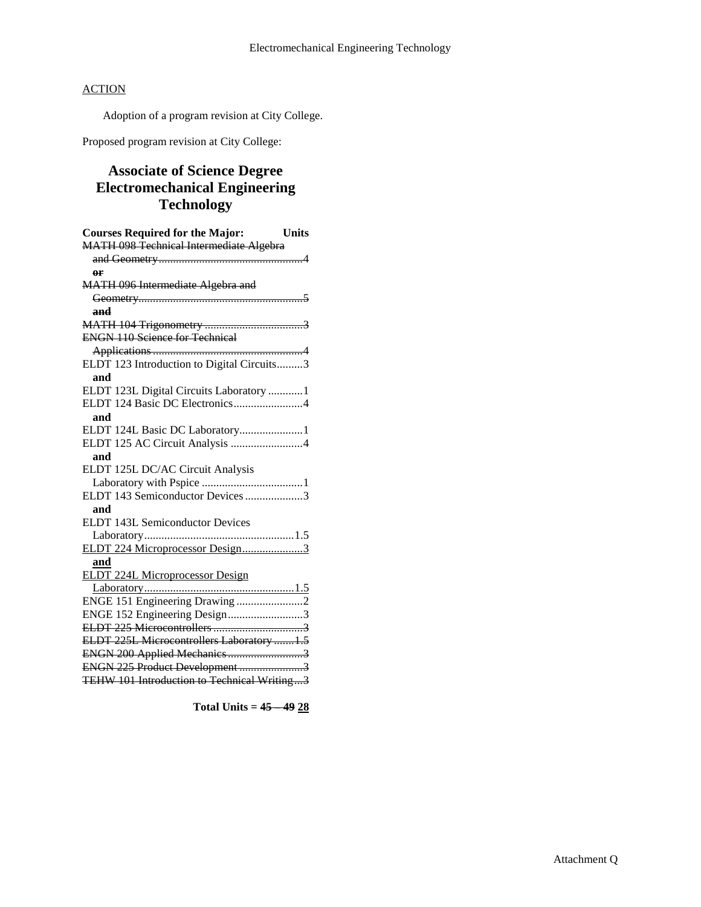Adoption of a program revision at City College.

Proposed program revision at City College:

# **Associate of Science Degree Electromechanical Engineering Technology**

| <b>Units</b><br><b>Courses Required for the Major:</b> |
|--------------------------------------------------------|
| <b>MATH 098 Technical Intermediate Algebra</b>         |
|                                                        |
| θF                                                     |
| MATH 096 Intermediate Algebra and                      |
|                                                        |
| and                                                    |
|                                                        |
| <b>ENGN 110 Science for Technical</b>                  |
|                                                        |
| ELDT 123 Introduction to Digital Circuits3             |
| and                                                    |
| ELDT 123L Digital Circuits Laboratory 1                |
| ELDT 124 Basic DC Electronics4                         |
| and                                                    |
| ELDT 124L Basic DC Laboratory1                         |
| ELDT 125 AC Circuit Analysis 4                         |
| and                                                    |
| ELDT 125L DC/AC Circuit Analysis                       |
|                                                        |
| ELDT 143 Semiconductor Devices 3                       |
| and                                                    |
| <b>ELDT 143L Semiconductor Devices</b>                 |
|                                                        |
| ELDT 224 Microprocessor Design3                        |
| and                                                    |
| <b>ELDT 224L Microprocessor Design</b>                 |
|                                                        |
| ENGE 151 Engineering Drawing 2                         |
| ENGE 152 Engineering Design3                           |
|                                                        |
| ELDT 225L Microcontrollers Laboratory 1.5              |
|                                                        |
| ENGN 225 Product Development 3                         |
| TEHW 101 Introduction to Technical Writing3            |

**Total Units = 45 – 49 28**